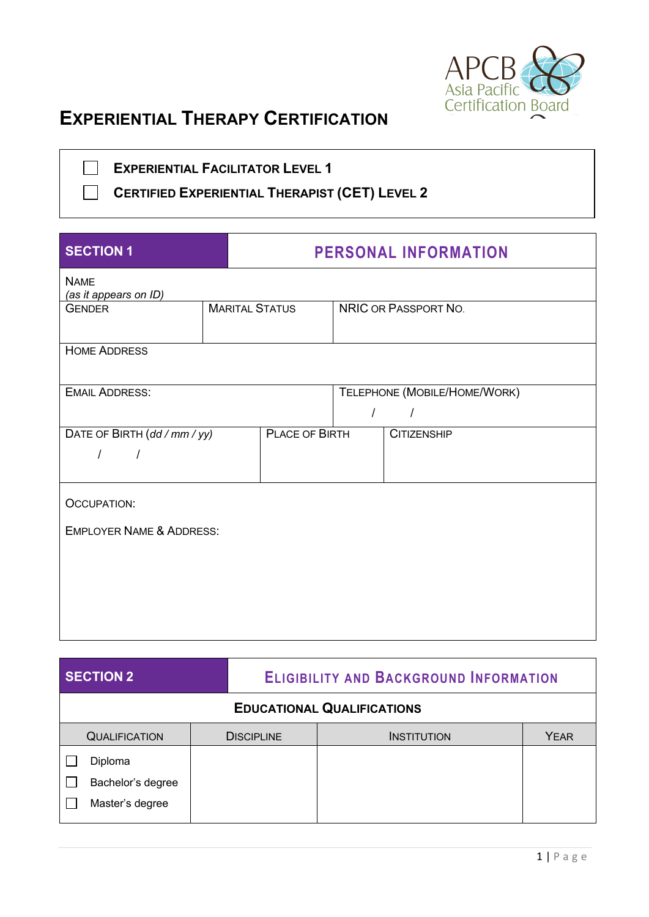

# **EXPERIENTIAL THERAPY CERTIFICATION**

 $\Box$  $\mathcal{L}^{\text{max}}$ 

**EXPERIENTIAL FACILITATOR LEVEL 1**

**CERTIFIED EXPERIENTIAL THERAPIST (CET) LEVEL 2**

| <b>SECTION 1</b>                                                       |  | <b>PERSONAL INFORMATION</b> |                                          |                      |  |
|------------------------------------------------------------------------|--|-----------------------------|------------------------------------------|----------------------|--|
| <b>NAME</b><br>(as it appears on ID)                                   |  |                             |                                          |                      |  |
| <b>GENDER</b>                                                          |  | <b>MARITAL STATUS</b>       |                                          | NRIC OR PASSPORT NO. |  |
| <b>HOME ADDRESS</b>                                                    |  |                             |                                          |                      |  |
| <b>EMAIL ADDRESS:</b>                                                  |  |                             | TELEPHONE (MOBILE/HOME/WORK)<br>$\prime$ |                      |  |
| DATE OF BIRTH (dd / mm / yy)<br>PLACE OF BIRTH<br>$\prime$<br>$\prime$ |  |                             | <b>CITIZENSHIP</b>                       |                      |  |
| <b>OCCUPATION:</b>                                                     |  |                             |                                          |                      |  |
| <b>EMPLOYER NAME &amp; ADDRESS:</b>                                    |  |                             |                                          |                      |  |

| <b>SECTION 2</b>                  |                   | <b>ELIGIBILITY AND BACKGROUND INFORMATION</b> |             |  |  |
|-----------------------------------|-------------------|-----------------------------------------------|-------------|--|--|
| <b>EDUCATIONAL QUALIFICATIONS</b> |                   |                                               |             |  |  |
| <b>QUALIFICATION</b>              | <b>DISCIPLINE</b> | <b>INSTITUTION</b>                            | <b>YEAR</b> |  |  |
| Diploma                           |                   |                                               |             |  |  |
| Bachelor's degree                 |                   |                                               |             |  |  |
| Master's degree                   |                   |                                               |             |  |  |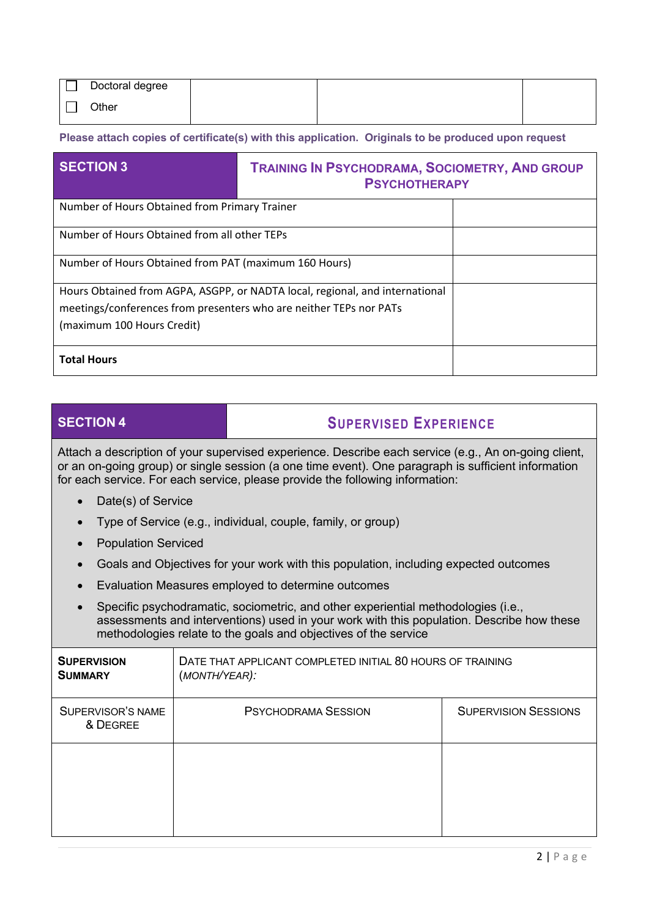|       | Doctoral degree |  |  |
|-------|-----------------|--|--|
| Other |                 |  |  |

**Please attach copies of certificate(s) with this application. Originals to be produced upon request**

| <b>SECTION 3</b>                                                                                                                                   | <b>TRAINING IN PSYCHODRAMA, SOCIOMETRY, AND GROUP</b><br><b>PSYCHOTHERAPY</b> |  |  |
|----------------------------------------------------------------------------------------------------------------------------------------------------|-------------------------------------------------------------------------------|--|--|
| Number of Hours Obtained from Primary Trainer                                                                                                      |                                                                               |  |  |
| Number of Hours Obtained from all other TEPs                                                                                                       |                                                                               |  |  |
| Number of Hours Obtained from PAT (maximum 160 Hours)                                                                                              |                                                                               |  |  |
| Hours Obtained from AGPA, ASGPP, or NADTA local, regional, and international<br>meetings/conferences from presenters who are neither TEPs nor PATs |                                                                               |  |  |
| (maximum 100 Hours Credit)                                                                                                                         |                                                                               |  |  |
| <b>Total Hours</b>                                                                                                                                 |                                                                               |  |  |

# **SECTION 4 SUPERVISED EXPERIENCE**

Attach a description of your supervised experience. Describe each service (e.g., An on-going client, or an on-going group) or single session (a one time event). One paragraph is sufficient information for each service. For each service, please provide the following information:

- Date(s) of Service
- Type of Service (e.g., individual, couple, family, or group)
- Population Serviced
- Goals and Objectives for your work with this population, including expected outcomes
- Evaluation Measures employed to determine outcomes
- Specific psychodramatic, sociometric, and other experiential methodologies (i.e., assessments and interventions) used in your work with this population. Describe how these methodologies relate to the goals and objectives of the service

| <b>SUPERVISION</b><br><b>SUMMARY</b> | DATE THAT APPLICANT COMPLETED INITIAL 80 HOURS OF TRAINING<br>(MONTH/YEAR): |                             |  |  |
|--------------------------------------|-----------------------------------------------------------------------------|-----------------------------|--|--|
| SUPERVISOR'S NAME<br>& DEGREE        | <b>PSYCHODRAMA SESSION</b>                                                  | <b>SUPERVISION SESSIONS</b> |  |  |
|                                      |                                                                             |                             |  |  |
|                                      |                                                                             |                             |  |  |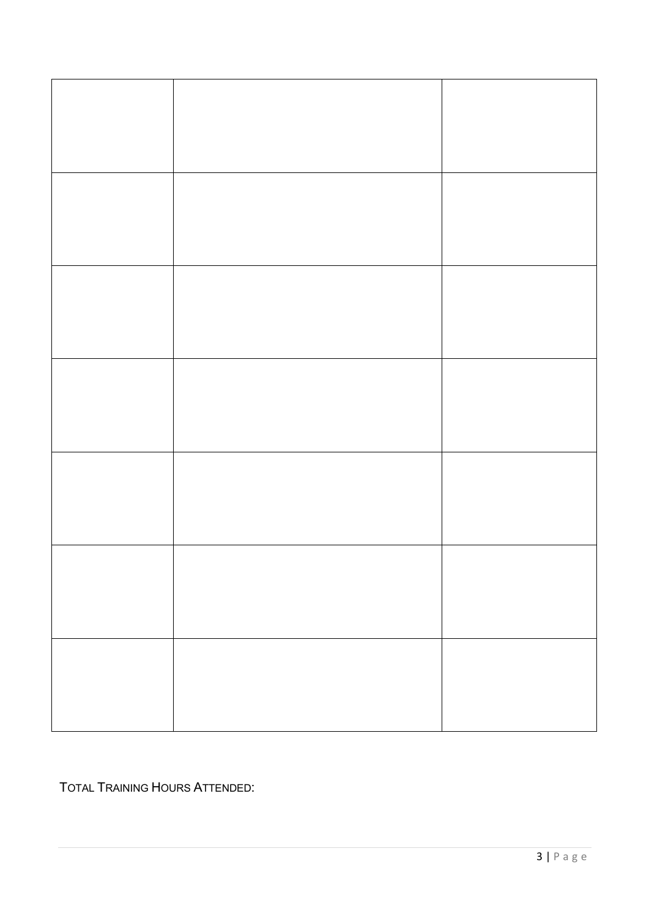TOTAL TRAINING HOURS ATTENDED: